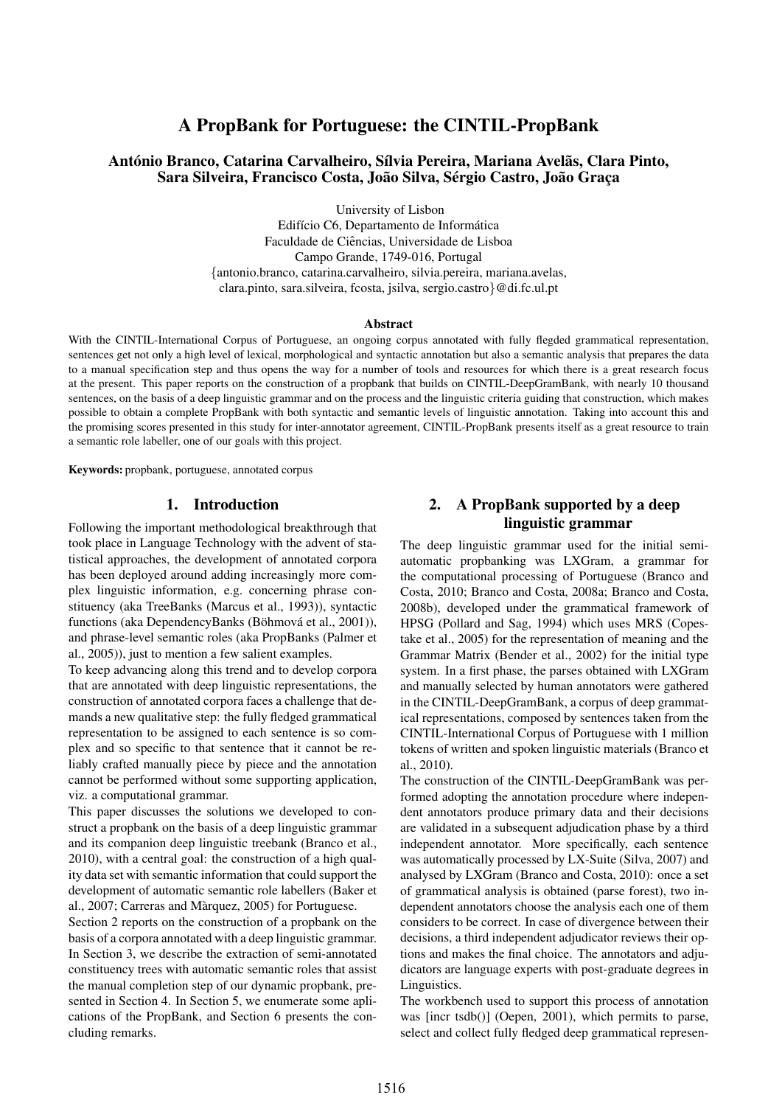# A PropBank for Portuguese: the CINTIL-PropBank

### António Branco, Catarina Carvalheiro, Sílvia Pereira, Mariana Avelãs, Clara Pinto, Sara Silveira, Francisco Costa, João Silva, Sérgio Castro, João Graça

University of Lisbon

Edifício C6, Departamento de Informática Faculdade de Ciencias, Universidade de Lisboa ˆ Campo Grande, 1749-016, Portugal {antonio.branco, catarina.carvalheiro, silvia.pereira, mariana.avelas, clara.pinto, sara.silveira, fcosta, jsilva, sergio.castro}@di.fc.ul.pt

#### Abstract

With the CINTIL-International Corpus of Portuguese, an ongoing corpus annotated with fully flegded grammatical representation, sentences get not only a high level of lexical, morphological and syntactic annotation but also a semantic analysis that prepares the data to a manual specification step and thus opens the way for a number of tools and resources for which there is a great research focus at the present. This paper reports on the construction of a propbank that builds on CINTIL-DeepGramBank, with nearly 10 thousand sentences, on the basis of a deep linguistic grammar and on the process and the linguistic criteria guiding that construction, which makes possible to obtain a complete PropBank with both syntactic and semantic levels of linguistic annotation. Taking into account this and the promising scores presented in this study for inter-annotator agreement, CINTIL-PropBank presents itself as a great resource to train a semantic role labeller, one of our goals with this project.

Keywords: propbank, portuguese, annotated corpus

#### 1. Introduction

Following the important methodological breakthrough that took place in Language Technology with the advent of statistical approaches, the development of annotated corpora has been deployed around adding increasingly more complex linguistic information, e.g. concerning phrase constituency (aka TreeBanks (Marcus et al., 1993)), syntactic functions (aka DependencyBanks (Böhmová et al., 2001)), and phrase-level semantic roles (aka PropBanks (Palmer et al., 2005)), just to mention a few salient examples.

To keep advancing along this trend and to develop corpora that are annotated with deep linguistic representations, the construction of annotated corpora faces a challenge that demands a new qualitative step: the fully fledged grammatical representation to be assigned to each sentence is so complex and so specific to that sentence that it cannot be reliably crafted manually piece by piece and the annotation cannot be performed without some supporting application, viz. a computational grammar.

This paper discusses the solutions we developed to construct a propbank on the basis of a deep linguistic grammar and its companion deep linguistic treebank (Branco et al., 2010), with a central goal: the construction of a high quality data set with semantic information that could support the development of automatic semantic role labellers (Baker et al., 2007; Carreras and Marquez, 2005) for Portuguese. `

Section 2 reports on the construction of a propbank on the basis of a corpora annotated with a deep linguistic grammar. In Section 3, we describe the extraction of semi-annotated constituency trees with automatic semantic roles that assist the manual completion step of our dynamic propbank, presented in Section 4. In Section 5, we enumerate some aplications of the PropBank, and Section 6 presents the concluding remarks.

## 2. A PropBank supported by a deep linguistic grammar

The deep linguistic grammar used for the initial semiautomatic propbanking was LXGram, a grammar for the computational processing of Portuguese (Branco and Costa, 2010; Branco and Costa, 2008a; Branco and Costa, 2008b), developed under the grammatical framework of HPSG (Pollard and Sag, 1994) which uses MRS (Copestake et al., 2005) for the representation of meaning and the Grammar Matrix (Bender et al., 2002) for the initial type system. In a first phase, the parses obtained with LXGram and manually selected by human annotators were gathered in the CINTIL-DeepGramBank, a corpus of deep grammatical representations, composed by sentences taken from the CINTIL-International Corpus of Portuguese with 1 million tokens of written and spoken linguistic materials (Branco et al., 2010).

The construction of the CINTIL-DeepGramBank was performed adopting the annotation procedure where independent annotators produce primary data and their decisions are validated in a subsequent adjudication phase by a third independent annotator. More specifically, each sentence was automatically processed by LX-Suite (Silva, 2007) and analysed by LXGram (Branco and Costa, 2010): once a set of grammatical analysis is obtained (parse forest), two independent annotators choose the analysis each one of them considers to be correct. In case of divergence between their decisions, a third independent adjudicator reviews their options and makes the final choice. The annotators and adjudicators are language experts with post-graduate degrees in Linguistics.

The workbench used to support this process of annotation was [incr tsdb()] (Oepen, 2001), which permits to parse, select and collect fully fledged deep grammatical represen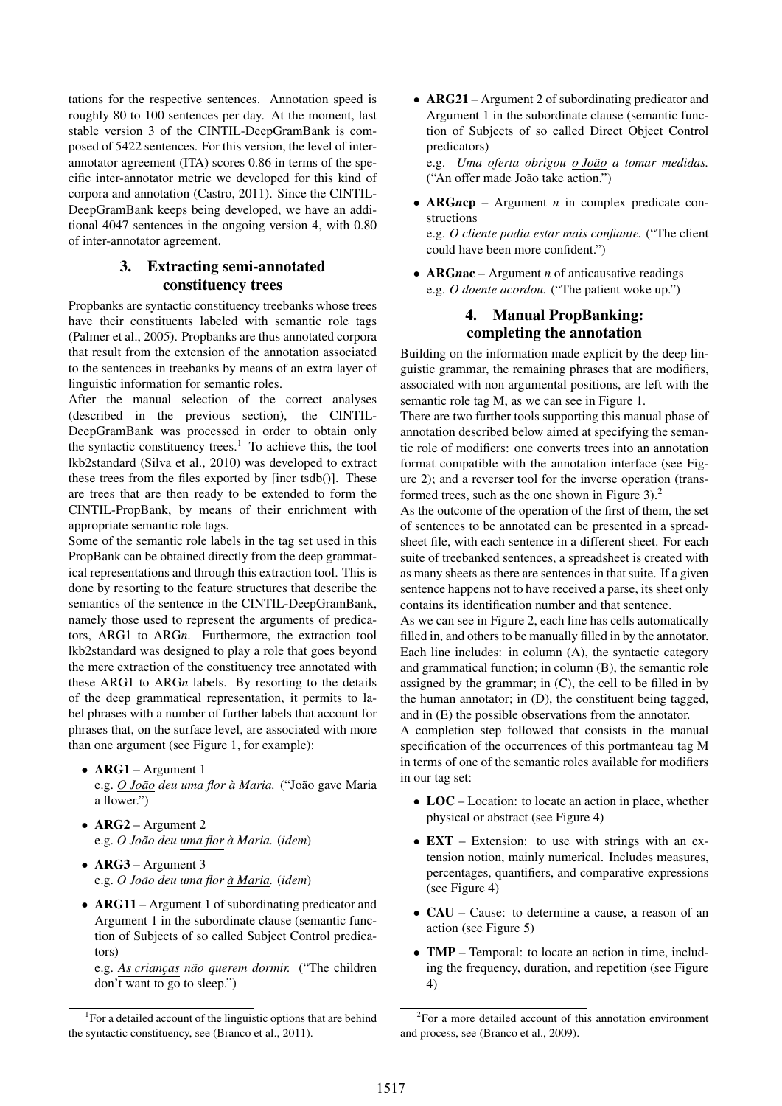tations for the respective sentences. Annotation speed is roughly 80 to 100 sentences per day. At the moment, last stable version 3 of the CINTIL-DeepGramBank is composed of 5422 sentences. For this version, the level of interannotator agreement (ITA) scores 0.86 in terms of the specific inter-annotator metric we developed for this kind of corpora and annotation (Castro, 2011). Since the CINTIL-DeepGramBank keeps being developed, we have an additional 4047 sentences in the ongoing version 4, with 0.80 of inter-annotator agreement.

# 3. Extracting semi-annotated constituency trees

Propbanks are syntactic constituency treebanks whose trees have their constituents labeled with semantic role tags (Palmer et al., 2005). Propbanks are thus annotated corpora that result from the extension of the annotation associated to the sentences in treebanks by means of an extra layer of linguistic information for semantic roles.

After the manual selection of the correct analyses (described in the previous section), the CINTIL-DeepGramBank was processed in order to obtain only the syntactic constituency trees.<sup>1</sup> To achieve this, the tool lkb2standard (Silva et al., 2010) was developed to extract these trees from the files exported by [incr tsdb()]. These are trees that are then ready to be extended to form the CINTIL-PropBank, by means of their enrichment with appropriate semantic role tags.

Some of the semantic role labels in the tag set used in this PropBank can be obtained directly from the deep grammatical representations and through this extraction tool. This is done by resorting to the feature structures that describe the semantics of the sentence in the CINTIL-DeepGramBank, namely those used to represent the arguments of predicators, ARG1 to ARG*n*. Furthermore, the extraction tool lkb2standard was designed to play a role that goes beyond the mere extraction of the constituency tree annotated with these ARG1 to ARG*n* labels. By resorting to the details of the deep grammatical representation, it permits to label phrases with a number of further labels that account for phrases that, on the surface level, are associated with more than one argument (see Figure 1, for example):

- ARG1 Argument 1 e.g. *O Joao˜ deu uma flor a Maria. `* ("Joao gave Maria ˜ a flower.")
- ARG2 Argument 2 e.g. *O Joao deu uma flor ˜ a Maria. `* (*idem*)
- ARG3 Argument 3 e.g. *O Joao deu uma flor ˜ a Maria ` .* (*idem*)
- ARG11 Argument 1 of subordinating predicator and Argument 1 in the subordinate clause (semantic function of Subjects of so called Subject Control predicators)

e.g. *As crianc¸as nao querem dormir. ˜* ("The children don't want to go to sleep.")

• ARG21 – Argument 2 of subordinating predicator and Argument 1 in the subordinate clause (semantic function of Subjects of so called Direct Object Control predicators)

e.g. *Uma oferta obrigou o Joao˜ a tomar medidas.* ("An offer made João take action.")

• ARG*n*cp – Argument *n* in complex predicate constructions

e.g. *O cliente podia estar mais confiante.* ("The client could have been more confident.")

• **ARGnac** – Argument *n* of anticausative readings e.g. *O doente acordou.* ("The patient woke up.")

# 4. Manual PropBanking: completing the annotation

Building on the information made explicit by the deep linguistic grammar, the remaining phrases that are modifiers, associated with non argumental positions, are left with the semantic role tag M, as we can see in Figure 1.

There are two further tools supporting this manual phase of annotation described below aimed at specifying the semantic role of modifiers: one converts trees into an annotation format compatible with the annotation interface (see Figure 2); and a reverser tool for the inverse operation (transformed trees, such as the one shown in Figure 3).<sup>2</sup>

As the outcome of the operation of the first of them, the set of sentences to be annotated can be presented in a spreadsheet file, with each sentence in a different sheet. For each suite of treebanked sentences, a spreadsheet is created with as many sheets as there are sentences in that suite. If a given sentence happens not to have received a parse, its sheet only contains its identification number and that sentence.

As we can see in Figure 2, each line has cells automatically filled in, and others to be manually filled in by the annotator. Each line includes: in column (A), the syntactic category and grammatical function; in column (B), the semantic role assigned by the grammar; in  $(C)$ , the cell to be filled in by the human annotator; in (D), the constituent being tagged, and in (E) the possible observations from the annotator.

A completion step followed that consists in the manual specification of the occurrences of this portmanteau tag M in terms of one of the semantic roles available for modifiers in our tag set:

- LOC Location: to locate an action in place, whether physical or abstract (see Figure 4)
- **EXT** Extension: to use with strings with an extension notion, mainly numerical. Includes measures, percentages, quantifiers, and comparative expressions (see Figure 4)
- CAU Cause: to determine a cause, a reason of an action (see Figure 5)
- **TMP** Temporal: to locate an action in time, including the frequency, duration, and repetition (see Figure 4)

<sup>&</sup>lt;sup>1</sup> For a detailed account of the linguistic options that are behind the syntactic constituency, see (Branco et al., 2011).

<sup>&</sup>lt;sup>2</sup>For a more detailed account of this annotation environment and process, see (Branco et al., 2009).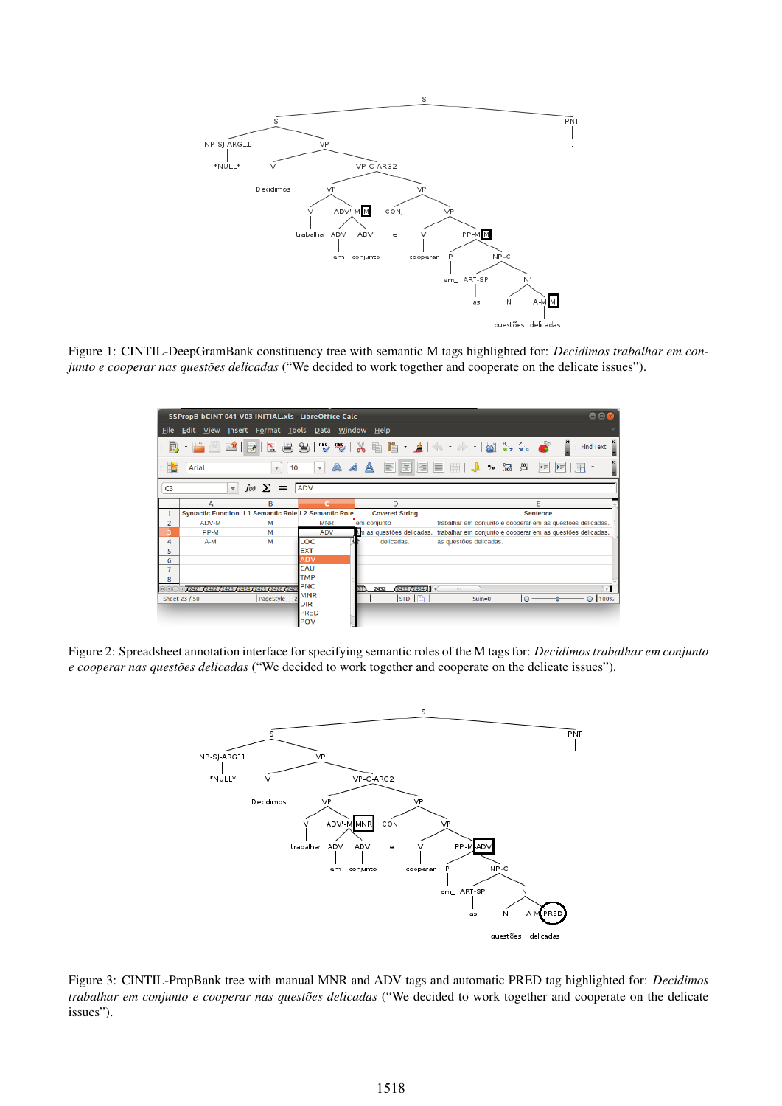

Figure 1: CINTIL-DeepGramBank constituency tree with semantic M tags highlighted for: *Decidimos trabalhar em conjunto e cooperar nas questões delicadas* ("We decided to work together and cooperate on the delicate issues").

| 000<br>SSPropB-bCINT-041-V03-INITIAL.xls - LibreOffice Calc |                                                             |                             |                    |                              |                        |                                                            |
|-------------------------------------------------------------|-------------------------------------------------------------|-----------------------------|--------------------|------------------------------|------------------------|------------------------------------------------------------|
| <b>File</b>                                                 | Edit View Insert Format Tools Data Window Help              |                             |                    |                              |                        |                                                            |
| D.                                                          | $\cdot$ 2<br>$\sum_{i=1}^{n}$                               | $\sum_{\text{pos}}$         |                    | 89144818567814               |                        | $\rightarrow$<br>Ĩ<br><b>Find Text</b>                     |
| <b>B</b>                                                    | Arial                                                       | 10<br>$\boldsymbol{\nabla}$ | $\mathbf{v}$       | 圖<br>A A A IF                |                        | $\blacktriangleleft$<br>$ \mathsf{H}^{\pm} $               |
| C <sub>3</sub>                                              | $\mathbf{v}$                                                | $f(x) \sum$ =               | <b>ADV</b>         |                              |                        |                                                            |
|                                                             | А                                                           | B                           | c.                 | D                            |                        | F                                                          |
| 1                                                           | <b>Syntactic Function L1 Semantic Role L2 Semantic Role</b> |                             |                    | <b>Covered String</b>        |                        | <b>Sentence</b>                                            |
| $\overline{2}$                                              | ADV-M                                                       | M                           | <b>MNR</b>         | em conjunto                  |                        | trabalhar em conjunto e cooperar em as questões delicadas. |
| з                                                           | PP-M                                                        | M                           | <b>ADV</b>         | $t$ m as questões delicadas. |                        | trabalhar em conjunto e cooperar em as questões delicadas. |
| 4                                                           | $A-M$                                                       | M                           | LOC                | delicadas.                   | as questões delicadas. |                                                            |
| 5                                                           |                                                             |                             | <b>EXT</b>         |                              |                        |                                                            |
| 6                                                           |                                                             |                             | <b>ADV</b>         |                              |                        |                                                            |
| $\overline{7}$                                              |                                                             |                             | CAU                |                              |                        |                                                            |
| 8                                                           |                                                             |                             | <b>TMP</b>         |                              |                        |                                                            |
| 0000 2421 2422 2423 2424<br>25 - 2426 - 24                  |                                                             |                             | <b>PNC</b>         | 2432<br>243322434            | ALC:                   | $\overline{a}$                                             |
|                                                             | Sheet 23 / 50                                               | PageStyle                   | <b>MNR</b>         | $STD$ $\Box$                 | $Sum = 0$              | ⊕ 100%<br>$\Theta$                                         |
|                                                             |                                                             |                             | <b>DIR</b>         |                              |                        |                                                            |
|                                                             |                                                             |                             | <b>PRED</b><br>POV |                              |                        |                                                            |

Figure 2: Spreadsheet annotation interface for specifying semantic roles of the M tags for: *Decidimos trabalhar em conjunto e cooperar nas questões delicadas* ("We decided to work together and cooperate on the delicate issues").



Figure 3: CINTIL-PropBank tree with manual MNR and ADV tags and automatic PRED tag highlighted for: *Decidimos trabalhar em conjunto e cooperar nas questões delicadas* ("We decided to work together and cooperate on the delicate issues").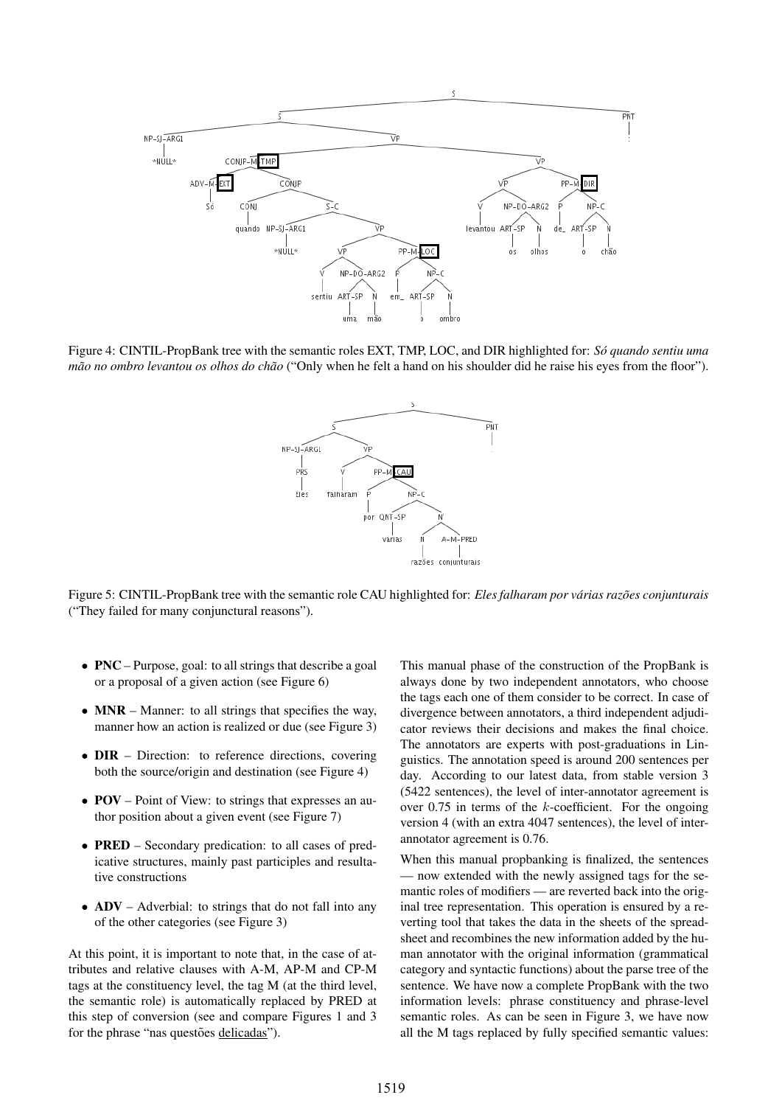

Figure 4: CINTIL-PropBank tree with the semantic roles EXT, TMP, LOC, and DIR highlighted for: *So quando sentiu uma ´ mão no ombro levantou os olhos do chão* ("Only when he felt a hand on his shoulder did he raise his eyes from the floor").



Figure 5: CINTIL-PropBank tree with the semantic role CAU highlighted for: *Eles falharam por várias razões conjunturais* ("They failed for many conjunctural reasons").

- PNC Purpose, goal: to all strings that describe a goal or a proposal of a given action (see Figure 6)
- MNR Manner: to all strings that specifies the way, manner how an action is realized or due (see Figure 3)
- **DIR** Direction: to reference directions, covering both the source/origin and destination (see Figure 4)
- **POV** Point of View: to strings that expresses an author position about a given event (see Figure 7)
- **PRED** Secondary predication: to all cases of predicative structures, mainly past participles and resultative constructions
- ADV Adverbial: to strings that do not fall into any of the other categories (see Figure 3)

At this point, it is important to note that, in the case of attributes and relative clauses with A-M, AP-M and CP-M tags at the constituency level, the tag M (at the third level, the semantic role) is automatically replaced by PRED at this step of conversion (see and compare Figures 1 and 3 for the phrase "nas questões delicadas").

This manual phase of the construction of the PropBank is always done by two independent annotators, who choose the tags each one of them consider to be correct. In case of divergence between annotators, a third independent adjudicator reviews their decisions and makes the final choice. The annotators are experts with post-graduations in Linguistics. The annotation speed is around 200 sentences per day. According to our latest data, from stable version 3 (5422 sentences), the level of inter-annotator agreement is over 0.75 in terms of the k-coefficient. For the ongoing version 4 (with an extra 4047 sentences), the level of interannotator agreement is 0.76.

When this manual propbanking is finalized, the sentences — now extended with the newly assigned tags for the semantic roles of modifiers — are reverted back into the original tree representation. This operation is ensured by a reverting tool that takes the data in the sheets of the spreadsheet and recombines the new information added by the human annotator with the original information (grammatical category and syntactic functions) about the parse tree of the sentence. We have now a complete PropBank with the two information levels: phrase constituency and phrase-level semantic roles. As can be seen in Figure 3, we have now all the M tags replaced by fully specified semantic values: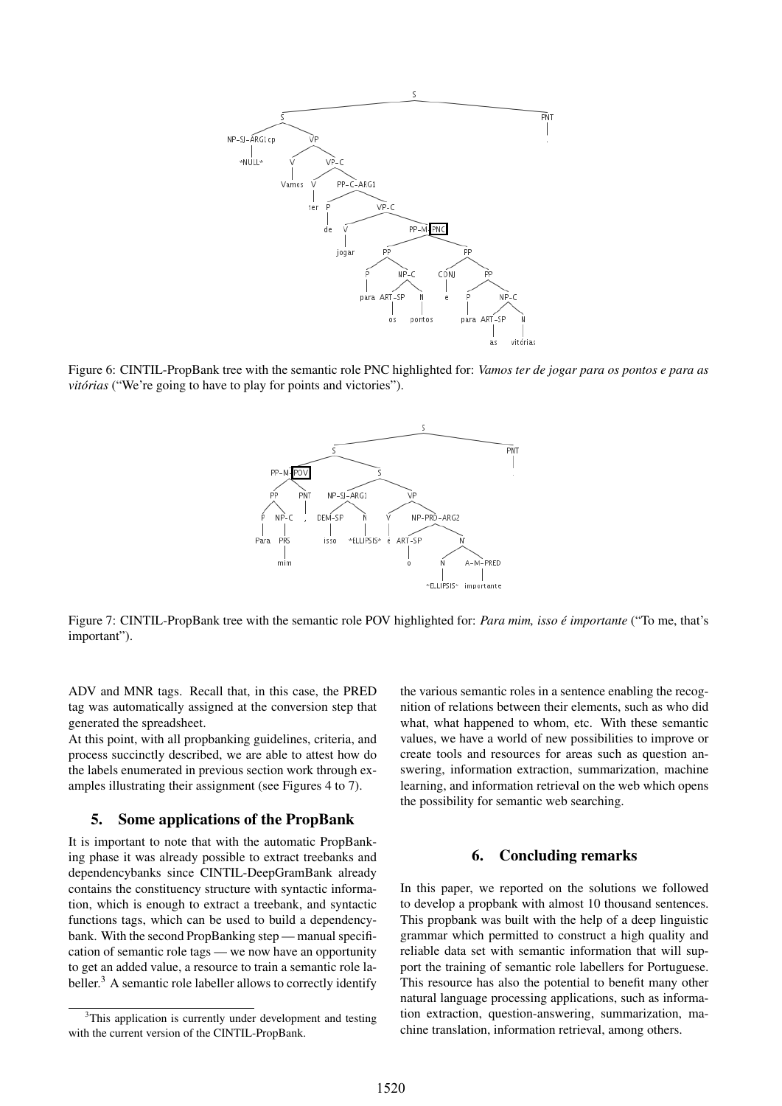

Figure 6: CINTIL-PropBank tree with the semantic role PNC highlighted for: *Vamos ter de jogar para os pontos e para as vitórias* ("We're going to have to play for points and victories").



Figure 7: CINTIL-PropBank tree with the semantic role POV highlighted for: *Para mim, isso e importante ´* ("To me, that's important").

ADV and MNR tags. Recall that, in this case, the PRED tag was automatically assigned at the conversion step that generated the spreadsheet.

At this point, with all propbanking guidelines, criteria, and process succinctly described, we are able to attest how do the labels enumerated in previous section work through examples illustrating their assignment (see Figures 4 to 7).

#### 5. Some applications of the PropBank

It is important to note that with the automatic PropBanking phase it was already possible to extract treebanks and dependencybanks since CINTIL-DeepGramBank already contains the constituency structure with syntactic information, which is enough to extract a treebank, and syntactic functions tags, which can be used to build a dependencybank. With the second PropBanking step — manual specification of semantic role tags — we now have an opportunity to get an added value, a resource to train a semantic role labeller. $3$  A semantic role labeller allows to correctly identify

the various semantic roles in a sentence enabling the recognition of relations between their elements, such as who did what, what happened to whom, etc. With these semantic values, we have a world of new possibilities to improve or create tools and resources for areas such as question answering, information extraction, summarization, machine learning, and information retrieval on the web which opens the possibility for semantic web searching.

### 6. Concluding remarks

In this paper, we reported on the solutions we followed to develop a propbank with almost 10 thousand sentences. This propbank was built with the help of a deep linguistic grammar which permitted to construct a high quality and reliable data set with semantic information that will support the training of semantic role labellers for Portuguese. This resource has also the potential to benefit many other natural language processing applications, such as information extraction, question-answering, summarization, machine translation, information retrieval, among others.

<sup>&</sup>lt;sup>3</sup>This application is currently under development and testing with the current version of the CINTIL-PropBank.